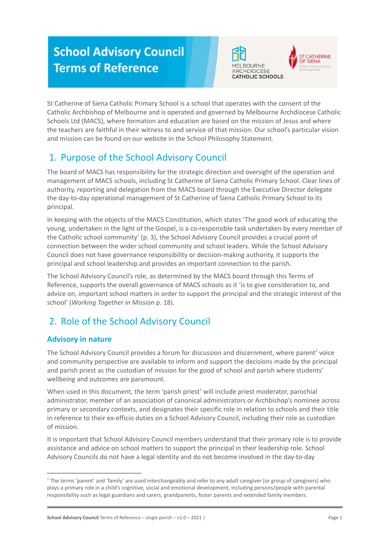# **School Advisory Council Terms of Reference**





St Catherine of Siena Catholic Primary School is a school that operates with the consent of the Catholic Archbishop of Melbourne and is operated and governed by Melbourne Archdiocese Catholic Schools Ltd (MACS), where formation and education are based on the mission of Jesus and where the teachers are faithful in their witness to and service of that mission. Our school's particular vision and mission can be found on our website in the School Philosophy Statement.

## 1. Purpose of the School Advisory Council

The board of MACS has responsibility for the strategic direction and oversight of the operation and management of MACS schools, including St Catherine of Siena Catholic Primary School. Clear lines of authority, reporting and delegation from the MACS board through the Executive Director delegate the day-to-day operational management of St Catherine of Siena Catholic Primary School to its principal.

In keeping with the objects of the MACS Constitution, which states 'The good work of educating the young, undertaken in the light of the Gospel, is a co-responsible task undertaken by every member of the Catholic school community' (p. 3), the School Advisory Council provides a crucial point of connection between the wider school community and school leaders. While the School Advisory Council does not have governance responsibility or decision-making authority, it supports the principal and school leadership and provides an important connection to the parish.

The School Advisory Council's role, as determined by the MACS board through this Terms of Reference, supports the overall governance of MACS schools as it 'is to give consideration to, and advice on, important school matters in order to support the principal and the strategic interest of the school' (*Working Together in Mission* p. 18).

## 2. Role of the School Advisory Council

## **Advisory in nature**

The School Advisory Council provides a forum for discussion and discernment, where parent<sup>1</sup> voice and community perspective are available to inform and support the decisions made by the principal and parish priest as the custodian of mission for the good of school and parish where students' wellbeing and outcomes are paramount.

When used in this document, the term 'parish priest' will include priest moderator, parochial administrator, member of an association of canonical administrators or Archbishop's nominee across primary or secondary contexts, and designates their specific role in relation to schools and their title in reference to their ex-officio duties on a School Advisory Council, including their role as custodian of mission.

It is important that School Advisory Council members understand that their primary role is to provide assistance and advice on school matters to support the principal in their leadership role. School Advisory Councils do not have a legal identity and do not become involved in the day-to-day

<sup>&</sup>lt;sup>1</sup> The terms 'parent' and 'family' are used interchangeably and refer to any adult caregiver (or group of caregivers) who plays a primary role in a child's cognitive, social and emotional development, including persons/people with parental responsibility such as legal guardians and carers, grandparents, foster parents and extended family members.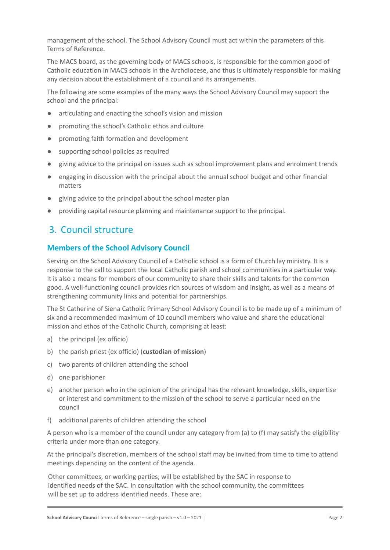management of the school. The School Advisory Council must act within the parameters of this Terms of Reference.

The MACS board, as the governing body of MACS schools, is responsible for the common good of Catholic education in MACS schools in the Archdiocese, and thus is ultimately responsible for making any decision about the establishment of a council and its arrangements.

The following are some examples of the many ways the School Advisory Council may support the school and the principal:

- articulating and enacting the school's vision and mission
- promoting the school's Catholic ethos and culture
- promoting faith formation and development
- supporting school policies as required
- giving advice to the principal on issues such as school improvement plans and enrolment trends
- engaging in discussion with the principal about the annual school budget and other financial matters
- giving advice to the principal about the school master plan
- providing capital resource planning and maintenance support to the principal.

## 3. Council structure

### **Members of the School Advisory Council**

Serving on the School Advisory Council of a Catholic school is a form of Church lay ministry. It is a response to the call to support the local Catholic parish and school communities in a particular way. It is also a means for members of our community to share their skills and talents for the common good. A well-functioning council provides rich sources of wisdom and insight, as well as a means of strengthening community links and potential for partnerships.

The St Catherine of Siena Catholic Primary School Advisory Council is to be made up of a minimum of six and a recommended maximum of 10 council members who value and share the educational mission and ethos of the Catholic Church, comprising at least:

- a) the principal (ex officio)
- b) the parish priest (ex officio) (**custodian of mission**)
- c) two parents of children attending the school
- d) one parishioner
- e) another person who in the opinion of the principal has the relevant knowledge, skills, expertise or interest and commitment to the mission of the school to serve a particular need on the council
- f) additional parents of children attending the school

A person who is a member of the council under any category from (a) to (f) may satisfy the eligibility criteria under more than one category.

At the principal's discretion, members of the school staff may be invited from time to time to attend meetings depending on the content of the agenda.

Other committees, or working parties, will be established by the SAC in response to identified needs of the SAC. In consultation with the school community, the committees will be set up to address identified needs. These are: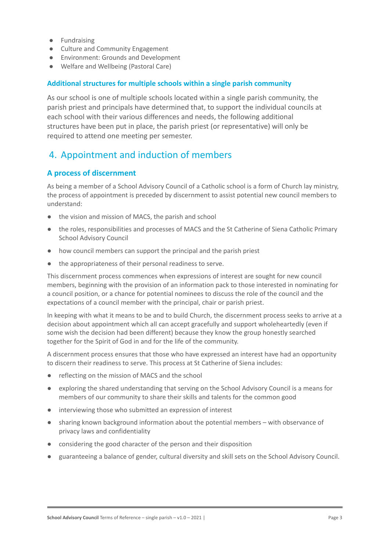- Fundraising
- Culture and Community Engagement
- Environment: Grounds and Development
- Welfare and Wellbeing (Pastoral Care)

#### **Additional structures for multiple schools within a single parish community**

As our school is one of multiple schools located within a single parish community, the parish priest and principals have determined that, to support the individual councils at each school with their various differences and needs, the following additional structures have been put in place, the parish priest (or representative) will only be required to attend one meeting per semester.

## 4. Appointment and induction of members

#### **A process of discernment**

As being a member of a School Advisory Council of a Catholic school is a form of Church lay ministry, the process of appointment is preceded by discernment to assist potential new council members to understand:

- the vision and mission of MACS, the parish and school
- the roles, responsibilities and processes of MACS and the St Catherine of Siena Catholic Primary School Advisory Council
- how council members can support the principal and the parish priest
- the appropriateness of their personal readiness to serve.

This discernment process commences when expressions of interest are sought for new council members, beginning with the provision of an information pack to those interested in nominating for a council position, or a chance for potential nominees to discuss the role of the council and the expectations of a council member with the principal, chair or parish priest.

In keeping with what it means to be and to build Church, the discernment process seeks to arrive at a decision about appointment which all can accept gracefully and support wholeheartedly (even if some wish the decision had been different) because they know the group honestly searched together for the Spirit of God in and for the life of the community.

A discernment process ensures that those who have expressed an interest have had an opportunity to discern their readiness to serve. This process at St Catherine of Siena includes:

- reflecting on the mission of MACS and the school
- exploring the shared understanding that serving on the School Advisory Council is a means for members of our community to share their skills and talents for the common good
- interviewing those who submitted an expression of interest
- sharing known background information about the potential members with observance of privacy laws and confidentiality
- considering the good character of the person and their disposition
- guaranteeing a balance of gender, cultural diversity and skill sets on the School Advisory Council.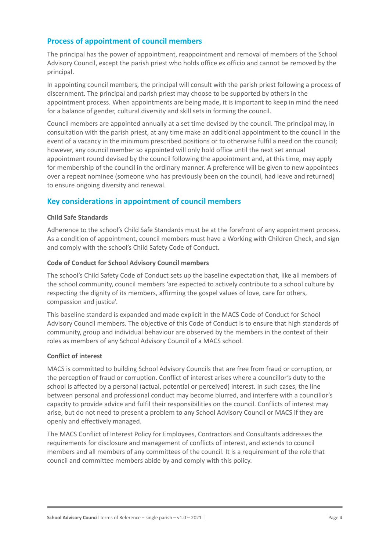### **Process of appointment of council members**

The principal has the power of appointment, reappointment and removal of members of the School Advisory Council, except the parish priest who holds office ex officio and cannot be removed by the principal.

In appointing council members, the principal will consult with the parish priest following a process of discernment. The principal and parish priest may choose to be supported by others in the appointment process. When appointments are being made, it is important to keep in mind the need for a balance of gender, cultural diversity and skill sets in forming the council.

Council members are appointed annually at a set time devised by the council. The principal may, in consultation with the parish priest, at any time make an additional appointment to the council in the event of a vacancy in the minimum prescribed positions or to otherwise fulfil a need on the council; however, any council member so appointed will only hold office until the next set annual appointment round devised by the council following the appointment and, at this time, may apply for membership of the council in the ordinary manner. A preference will be given to new appointees over a repeat nominee (someone who has previously been on the council, had leave and returned) to ensure ongoing diversity and renewal.

### **Key considerations in appointment of council members**

#### **Child Safe Standards**

Adherence to the school's Child Safe Standards must be at the forefront of any appointment process. As a condition of appointment, council members must have a Working with Children Check, and sign and comply with the school's Child Safety Code of Conduct.

#### **Code of Conduct for School Advisory Council members**

The school's Child Safety Code of Conduct sets up the baseline expectation that, like all members of the school community, council members 'are expected to actively contribute to a school culture by respecting the dignity of its members, affirming the gospel values of love, care for others, compassion and justice'.

This baseline standard is expanded and made explicit in the MACS Code of Conduct for School Advisory Council members. The objective of this Code of Conduct is to ensure that high standards of community, group and individual behaviour are observed by the members in the context of their roles as members of any School Advisory Council of a MACS school.

#### **Conflict of interest**

MACS is committed to building School Advisory Councils that are free from fraud or corruption, or the perception of fraud or corruption. Conflict of interest arises where a councillor's duty to the school is affected by a personal (actual, potential or perceived) interest. In such cases, the line between personal and professional conduct may become blurred, and interfere with a councillor's capacity to provide advice and fulfil their responsibilities on the council. Conflicts of interest may arise, but do not need to present a problem to any School Advisory Council or MACS if they are openly and effectively managed.

The MACS Conflict of Interest Policy for Employees, Contractors and Consultants addresses the requirements for disclosure and management of conflicts of interest, and extends to council members and all members of any committees of the council. It is a requirement of the role that council and committee members abide by and comply with this policy.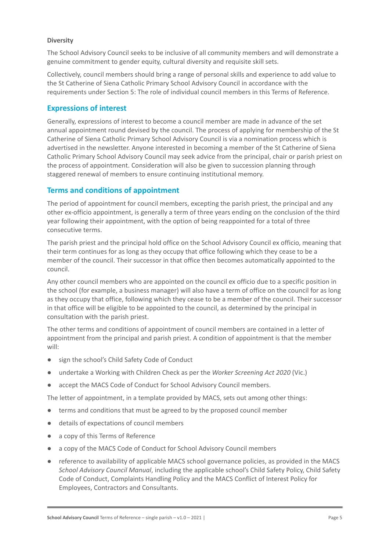#### **Diversity**

The School Advisory Council seeks to be inclusive of all community members and will demonstrate a genuine commitment to gender equity, cultural diversity and requisite skill sets.

Collectively, council members should bring a range of personal skills and experience to add value to the St Catherine of Siena Catholic Primary School Advisory Council in accordance with the requirements under Section 5: The role of individual council members in this Terms of Reference.

### **Expressions of interest**

Generally, expressions of interest to become a council member are made in advance of the set annual appointment round devised by the council. The process of applying for membership of the St Catherine of Siena Catholic Primary School Advisory Council is via a nomination process which is advertised in the newsletter. Anyone interested in becoming a member of the St Catherine of Siena Catholic Primary School Advisory Council may seek advice from the principal, chair or parish priest on the process of appointment. Consideration will also be given to succession planning through staggered renewal of members to ensure continuing institutional memory.

#### **Terms and conditions of appointment**

The period of appointment for council members, excepting the parish priest, the principal and any other ex-officio appointment, is generally a term of three years ending on the conclusion of the third year following their appointment, with the option of being reappointed for a total of three consecutive terms.

The parish priest and the principal hold office on the School Advisory Council ex officio, meaning that their term continues for as long as they occupy that office following which they cease to be a member of the council. Their successor in that office then becomes automatically appointed to the council.

Any other council members who are appointed on the council ex officio due to a specific position in the school (for example, a business manager) will also have a term of office on the council for as long as they occupy that office, following which they cease to be a member of the council. Their successor in that office will be eligible to be appointed to the council, as determined by the principal in consultation with the parish priest.

The other terms and conditions of appointment of council members are contained in a letter of appointment from the principal and parish priest. A condition of appointment is that the member will:

- sign the school's Child Safety Code of Conduct
- undertake a Working with Children Check as per the *Worker Screening Act 2020* (Vic.)
- accept the MACS Code of Conduct for School Advisory Council members.

The letter of appointment, in a template provided by MACS, sets out among other things:

- terms and conditions that must be agreed to by the proposed council member
- details of expectations of council members
- a copy of this Terms of Reference
- a copy of the MACS Code of Conduct for School Advisory Council members
- reference to availability of applicable MACS school governance policies, as provided in the MACS *School Advisory Council Manual*, including the applicable school's Child Safety Policy, Child Safety Code of Conduct, Complaints Handling Policy and the MACS Conflict of Interest Policy for Employees, Contractors and Consultants.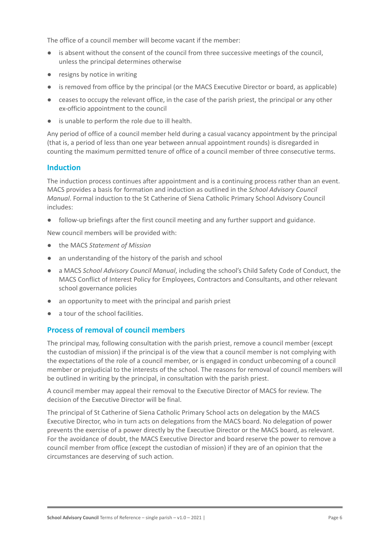The office of a council member will become vacant if the member:

- is absent without the consent of the council from three successive meetings of the council, unless the principal determines otherwise
- resigns by notice in writing
- is removed from office by the principal (or the MACS Executive Director or board, as applicable)
- ceases to occupy the relevant office, in the case of the parish priest, the principal or any other ex-officio appointment to the council
- is unable to perform the role due to ill health.

Any period of office of a council member held during a casual vacancy appointment by the principal (that is, a period of less than one year between annual appointment rounds) is disregarded in counting the maximum permitted tenure of office of a council member of three consecutive terms.

### **Induction**

The induction process continues after appointment and is a continuing process rather than an event. MACS provides a basis for formation and induction as outlined in the *School Advisory Council Manual*. Formal induction to the St Catherine of Siena Catholic Primary School Advisory Council includes:

follow-up briefings after the first council meeting and any further support and guidance.

New council members will be provided with:

- the MACS *Statement of Mission*
- an understanding of the history of the parish and school
- a MACS *School Advisory Council Manual*, including the school's Child Safety Code of Conduct, the MACS Conflict of Interest Policy for Employees, Contractors and Consultants, and other relevant school governance policies
- an opportunity to meet with the principal and parish priest
- a tour of the school facilities.

### **Process of removal of council members**

The principal may, following consultation with the parish priest, remove a council member (except the custodian of mission) if the principal is of the view that a council member is not complying with the expectations of the role of a council member, or is engaged in conduct unbecoming of a council member or prejudicial to the interests of the school. The reasons for removal of council members will be outlined in writing by the principal, in consultation with the parish priest.

A council member may appeal their removal to the Executive Director of MACS for review. The decision of the Executive Director will be final.

The principal of St Catherine of Siena Catholic Primary School acts on delegation by the MACS Executive Director, who in turn acts on delegations from the MACS board. No delegation of power prevents the exercise of a power directly by the Executive Director or the MACS board, as relevant. For the avoidance of doubt, the MACS Executive Director and board reserve the power to remove a council member from office (except the custodian of mission) if they are of an opinion that the circumstances are deserving of such action.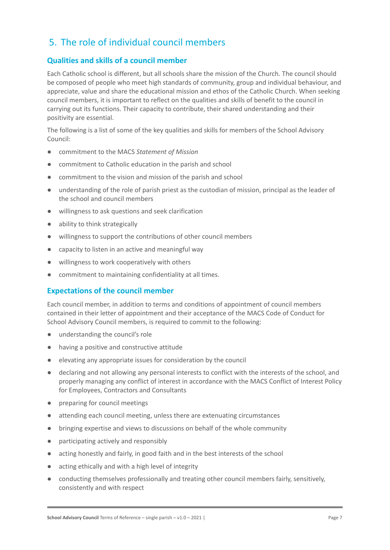## 5. The role of individual council members

## **Qualities and skills of a council member**

Each Catholic school is different, but all schools share the mission of the Church. The council should be composed of people who meet high standards of community, group and individual behaviour, and appreciate, value and share the educational mission and ethos of the Catholic Church. When seeking council members, it is important to reflect on the qualities and skills of benefit to the council in carrying out its functions. Their capacity to contribute, their shared understanding and their positivity are essential.

The following is a list of some of the key qualities and skills for members of the School Advisory Council:

- commitment to the MACS *Statement of Mission*
- commitment to Catholic education in the parish and school
- commitment to the vision and mission of the parish and school
- understanding of the role of parish priest as the custodian of mission, principal as the leader of the school and council members
- willingness to ask questions and seek clarification
- ability to think strategically
- willingness to support the contributions of other council members
- capacity to listen in an active and meaningful way
- willingness to work cooperatively with others
- commitment to maintaining confidentiality at all times.

### **Expectations of the council member**

Each council member, in addition to terms and conditions of appointment of council members contained in their letter of appointment and their acceptance of the MACS Code of Conduct for School Advisory Council members, is required to commit to the following:

- understanding the council's role
- having a positive and constructive attitude
- elevating any appropriate issues for consideration by the council
- declaring and not allowing any personal interests to conflict with the interests of the school, and properly managing any conflict of interest in accordance with the MACS Conflict of Interest Policy for Employees, Contractors and Consultants
- preparing for council meetings
- attending each council meeting, unless there are extenuating circumstances
- bringing expertise and views to discussions on behalf of the whole community
- participating actively and responsibly
- acting honestly and fairly, in good faith and in the best interests of the school
- acting ethically and with a high level of integrity
- conducting themselves professionally and treating other council members fairly, sensitively, consistently and with respect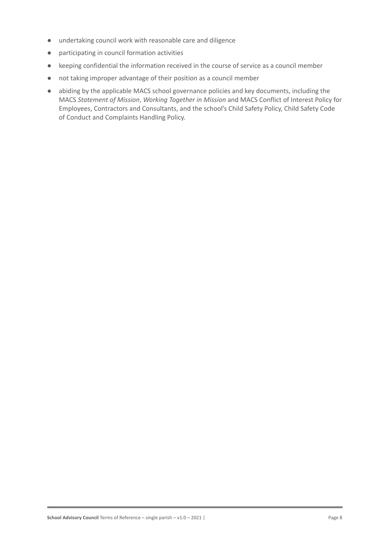- undertaking council work with reasonable care and diligence
- participating in council formation activities
- keeping confidential the information received in the course of service as a council member
- not taking improper advantage of their position as a council member
- abiding by the applicable MACS school governance policies and key documents, including the MACS *Statement of Mission*, *Working Together in Mission* and MACS Conflict of Interest Policy for Employees, Contractors and Consultants, and the school's Child Safety Policy, Child Safety Code of Conduct and Complaints Handling Policy.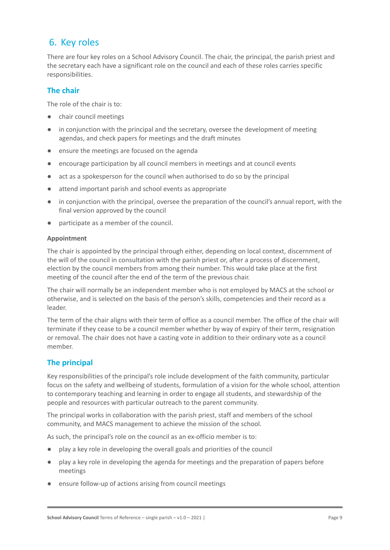## 6. Key roles

There are four key roles on a School Advisory Council. The chair, the principal, the parish priest and the secretary each have a significant role on the council and each of these roles carries specific responsibilities.

## **The chair**

The role of the chair is to:

- chair council meetings
- in conjunction with the principal and the secretary, oversee the development of meeting agendas, and check papers for meetings and the draft minutes
- ensure the meetings are focused on the agenda
- encourage participation by all council members in meetings and at council events
- act as a spokesperson for the council when authorised to do so by the principal
- attend important parish and school events as appropriate
- in conjunction with the principal, oversee the preparation of the council's annual report, with the final version approved by the council
- participate as a member of the council.

#### **Appointment**

The chair is appointed by the principal through either, depending on local context, discernment of the will of the council in consultation with the parish priest or, after a process of discernment, election by the council members from among their number. This would take place at the first meeting of the council after the end of the term of the previous chair.

The chair will normally be an independent member who is not employed by MACS at the school or otherwise, and is selected on the basis of the person's skills, competencies and their record as a leader.

The term of the chair aligns with their term of office as a council member. The office of the chair will terminate if they cease to be a council member whether by way of expiry of their term, resignation or removal. The chair does not have a casting vote in addition to their ordinary vote as a council member.

### **The principal**

Key responsibilities of the principal's role include development of the faith community, particular focus on the safety and wellbeing of students, formulation of a vision for the whole school, attention to contemporary teaching and learning in order to engage all students, and stewardship of the people and resources with particular outreach to the parent community.

The principal works in collaboration with the parish priest, staff and members of the school community, and MACS management to achieve the mission of the school.

As such, the principal's role on the council as an ex-officio member is to:

- play a key role in developing the overall goals and priorities of the council
- play a key role in developing the agenda for meetings and the preparation of papers before meetings
- ensure follow-up of actions arising from council meetings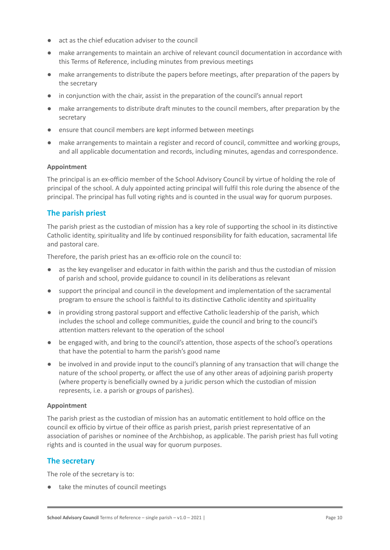- act as the chief education adviser to the council
- make arrangements to maintain an archive of relevant council documentation in accordance with this Terms of Reference, including minutes from previous meetings
- make arrangements to distribute the papers before meetings, after preparation of the papers by the secretary
- in conjunction with the chair, assist in the preparation of the council's annual report
- make arrangements to distribute draft minutes to the council members, after preparation by the secretary
- ensure that council members are kept informed between meetings
- make arrangements to maintain a register and record of council, committee and working groups, and all applicable documentation and records, including minutes, agendas and correspondence.

#### **Appointment**

The principal is an ex-officio member of the School Advisory Council by virtue of holding the role of principal of the school. A duly appointed acting principal will fulfil this role during the absence of the principal. The principal has full voting rights and is counted in the usual way for quorum purposes.

### **The parish priest**

The parish priest as the custodian of mission has a key role of supporting the school in its distinctive Catholic identity, spirituality and life by continued responsibility for faith education, sacramental life and pastoral care.

Therefore, the parish priest has an ex-officio role on the council to:

- as the key evangeliser and educator in faith within the parish and thus the custodian of mission of parish and school, provide guidance to council in its deliberations as relevant
- support the principal and council in the development and implementation of the sacramental program to ensure the school is faithful to its distinctive Catholic identity and spirituality
- in providing strong pastoral support and effective Catholic leadership of the parish, which includes the school and college communities, guide the council and bring to the council's attention matters relevant to the operation of the school
- be engaged with, and bring to the council's attention, those aspects of the school's operations that have the potential to harm the parish's good name
- be involved in and provide input to the council's planning of any transaction that will change the nature of the school property, or affect the use of any other areas of adjoining parish property (where property is beneficially owned by a juridic person which the custodian of mission represents, i.e. a parish or groups of parishes).

#### **Appointment**

The parish priest as the custodian of mission has an automatic entitlement to hold office on the council ex officio by virtue of their office as parish priest, parish priest representative of an association of parishes or nominee of the Archbishop, as applicable. The parish priest has full voting rights and is counted in the usual way for quorum purposes.

#### **The secretary**

The role of the secretary is to:

● take the minutes of council meetings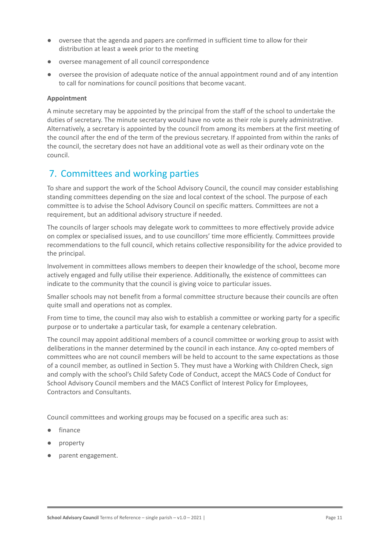- oversee that the agenda and papers are confirmed in sufficient time to allow for their distribution at least a week prior to the meeting
- oversee management of all council correspondence
- oversee the provision of adequate notice of the annual appointment round and of any intention to call for nominations for council positions that become vacant.

#### **Appointment**

A minute secretary may be appointed by the principal from the staff of the school to undertake the duties of secretary. The minute secretary would have no vote as their role is purely administrative. Alternatively, a secretary is appointed by the council from among its members at the first meeting of the council after the end of the term of the previous secretary. If appointed from within the ranks of the council, the secretary does not have an additional vote as well as their ordinary vote on the council.

## 7. Committees and working parties

To share and support the work of the School Advisory Council, the council may consider establishing standing committees depending on the size and local context of the school. The purpose of each committee is to advise the School Advisory Council on specific matters. Committees are not a requirement, but an additional advisory structure if needed.

The councils of larger schools may delegate work to committees to more effectively provide advice on complex or specialised issues, and to use councillors' time more efficiently. Committees provide recommendations to the full council, which retains collective responsibility for the advice provided to the principal.

Involvement in committees allows members to deepen their knowledge of the school, become more actively engaged and fully utilise their experience. Additionally, the existence of committees can indicate to the community that the council is giving voice to particular issues.

Smaller schools may not benefit from a formal committee structure because their councils are often quite small and operations not as complex.

From time to time, the council may also wish to establish a committee or working party for a specific purpose or to undertake a particular task, for example a centenary celebration.

The council may appoint additional members of a council committee or working group to assist with deliberations in the manner determined by the council in each instance. Any co-opted members of committees who are not council members will be held to account to the same expectations as those of a council member, as outlined in Section 5. They must have a Working with Children Check, sign and comply with the school's Child Safety Code of Conduct, accept the MACS Code of Conduct for School Advisory Council members and the MACS Conflict of Interest Policy for Employees, Contractors and Consultants.

Council committees and working groups may be focused on a specific area such as:

- finance
- property
- parent engagement.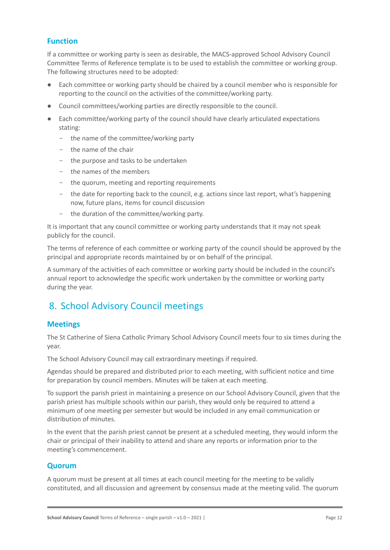## **Function**

If a committee or working party is seen as desirable, the MACS-approved School Advisory Council Committee Terms of Reference template is to be used to establish the committee or working group. The following structures need to be adopted:

- Each committee or working party should be chaired by a council member who is responsible for reporting to the council on the activities of the committee/working party.
- Council committees/working parties are directly responsible to the council.
- Each committee/working party of the council should have clearly articulated expectations stating:
	- the name of the committee/working party
	- the name of the chair
	- the purpose and tasks to be undertaken
	- the names of the members
	- the quorum, meeting and reporting requirements
	- the date for reporting back to the council, e.g. actions since last report, what's happening now, future plans, items for council discussion
	- the duration of the committee/working party.

It is important that any council committee or working party understands that it may not speak publicly for the council.

The terms of reference of each committee or working party of the council should be approved by the principal and appropriate records maintained by or on behalf of the principal.

A summary of the activities of each committee or working party should be included in the council's annual report to acknowledge the specific work undertaken by the committee or working party during the year.

## 8. School Advisory Council meetings

### **Meetings**

The St Catherine of Siena Catholic Primary School Advisory Council meets four to six times during the year.

The School Advisory Council may call extraordinary meetings if required.

Agendas should be prepared and distributed prior to each meeting, with sufficient notice and time for preparation by council members. Minutes will be taken at each meeting.

To support the parish priest in maintaining a presence on our School Advisory Council, given that the parish priest has multiple schools within our parish, they would only be required to attend a minimum of one meeting per semester but would be included in any email communication or distribution of minutes.

In the event that the parish priest cannot be present at a scheduled meeting, they would inform the chair or principal of their inability to attend and share any reports or information prior to the meeting's commencement.

#### **Quorum**

A quorum must be present at all times at each council meeting for the meeting to be validly constituted, and all discussion and agreement by consensus made at the meeting valid. The quorum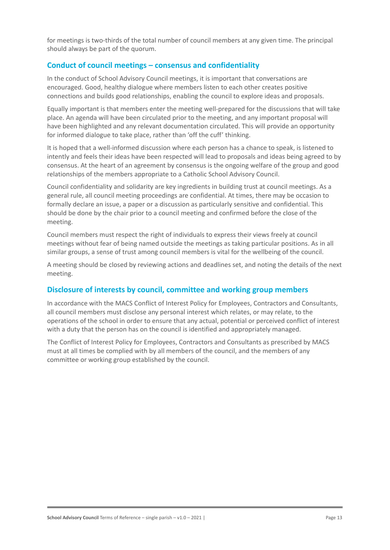for meetings is two-thirds of the total number of council members at any given time. The principal should always be part of the quorum.

### **Conduct of council meetings – consensus and confidentiality**

In the conduct of School Advisory Council meetings, it is important that conversations are encouraged. Good, healthy dialogue where members listen to each other creates positive connections and builds good relationships, enabling the council to explore ideas and proposals.

Equally important is that members enter the meeting well-prepared for the discussions that will take place. An agenda will have been circulated prior to the meeting, and any important proposal will have been highlighted and any relevant documentation circulated. This will provide an opportunity for informed dialogue to take place, rather than 'off the cuff' thinking.

It is hoped that a well-informed discussion where each person has a chance to speak, is listened to intently and feels their ideas have been respected will lead to proposals and ideas being agreed to by consensus. At the heart of an agreement by consensus is the ongoing welfare of the group and good relationships of the members appropriate to a Catholic School Advisory Council.

Council confidentiality and solidarity are key ingredients in building trust at council meetings. As a general rule, all council meeting proceedings are confidential. At times, there may be occasion to formally declare an issue, a paper or a discussion as particularly sensitive and confidential. This should be done by the chair prior to a council meeting and confirmed before the close of the meeting.

Council members must respect the right of individuals to express their views freely at council meetings without fear of being named outside the meetings as taking particular positions. As in all similar groups, a sense of trust among council members is vital for the wellbeing of the council.

A meeting should be closed by reviewing actions and deadlines set, and noting the details of the next meeting.

#### **Disclosure of interests by council, committee and working group members**

In accordance with the MACS Conflict of Interest Policy for Employees, Contractors and Consultants, all council members must disclose any personal interest which relates, or may relate, to the operations of the school in order to ensure that any actual, potential or perceived conflict of interest with a duty that the person has on the council is identified and appropriately managed.

The Conflict of Interest Policy for Employees, Contractors and Consultants as prescribed by MACS must at all times be complied with by all members of the council, and the members of any committee or working group established by the council.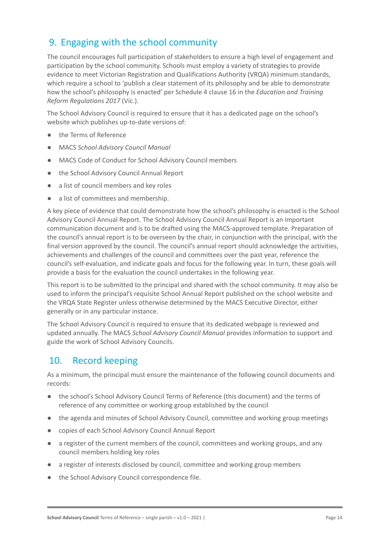## 9. Engaging with the school community

The council encourages full participation of stakeholders to ensure a high level of engagement and participation by the school community. Schools must employ a variety of strategies to provide evidence to meet Victorian Registration and Qualifications Authority (VRQA) minimum standards, which require a school to 'publish a clear statement of its philosophy and be able to demonstrate how the school's philosophy is enacted' per Schedule 4 clause 16 in the *Education and Training Reform Regulations 2017* (Vic.).

The School Advisory Council is required to ensure that it has a dedicated page on the school's website which publishes up-to-date versions of:

- the Terms of Reference
- MACS *School Advisory Council Manual*
- MACS Code of Conduct for School Advisory Council members
- the School Advisory Council Annual Report
- a list of council members and key roles
- a list of committees and membership.

A key piece of evidence that could demonstrate how the school's philosophy is enacted is the School Advisory Council Annual Report. The School Advisory Council Annual Report is an important communication document and is to be drafted using the MACS-approved template. Preparation of the council's annual report is to be overseen by the chair, in conjunction with the principal, with the final version approved by the council. The council's annual report should acknowledge the activities, achievements and challenges of the council and committees over the past year, reference the council's self-evaluation, and indicate goals and focus for the following year. In turn, these goals will provide a basis for the evaluation the council undertakes in the following year.

This report is to be submitted to the principal and shared with the school community. It may also be used to inform the principal's requisite School Annual Report published on the school website and the VRQA State Register unless otherwise determined by the MACS Executive Director, either generally or in any particular instance.

The School Advisory Council is required to ensure that its dedicated webpage is reviewed and updated annually. The MACS *School Advisory Council Manual* provides information to support and guide the work of School Advisory Councils.

## 10. Record keeping

As a minimum, the principal must ensure the maintenance of the following council documents and records:

- the school's School Advisory Council Terms of Reference (this document) and the terms of reference of any committee or working group established by the council
- the agenda and minutes of School Advisory Council, committee and working group meetings
- copies of each School Advisory Council Annual Report
- a register of the current members of the council, committees and working groups, and any council members holding key roles
- a register of interests disclosed by council, committee and working group members
- the School Advisory Council correspondence file.